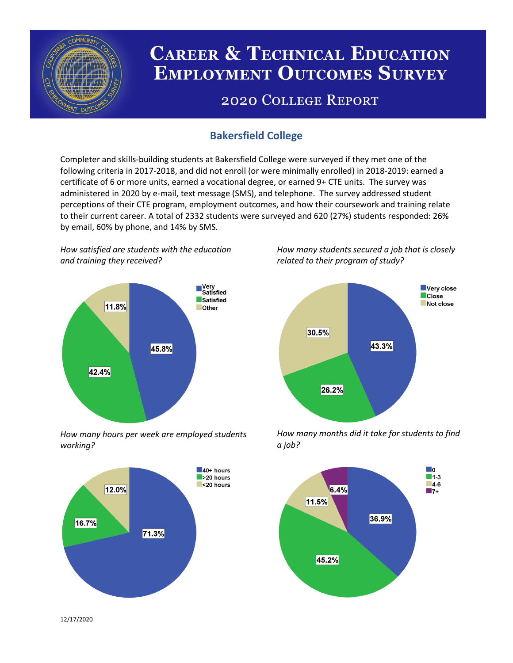

# **CAREER & TECHNICAL EDUCATION EMPLOYMENT OUTCOMES SURVEY**

## **2020 COLLEGE REPORT**

## **Bakersfield College**

Completer and skills-building students at Bakersfield College were surveyed if they met one of the following criteria in 2017-2018, and did not enroll (or were minimally enrolled) in 2018-2019: earned a certificate of 6 or more units, earned a vocational degree, or earned 9+ CTE units. The survey was administered in 2020 by e-mail, text message (SMS), and telephone. The survey addressed student perceptions of their CTE program, employment outcomes, and how their coursework and training relate to their current career. A total of 2332 students were surveyed and 620 (27%) students responded: 26% by email, 60% by phone, and 14% by SMS.

*How satisfied are students with the education and training they received?*



*How many hours per week are employed students working?*



*How many students secured a job that is closely related to their program of study?*



*How many months did it take for students to find a job?*



12/17/2020